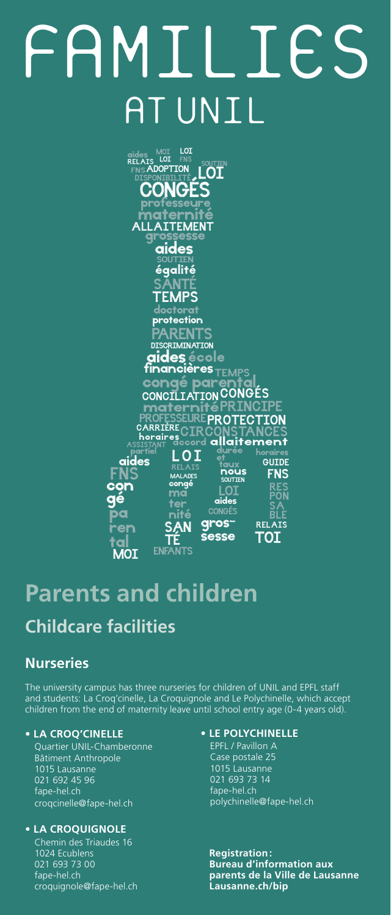# FAMILIES **UNIL**



# **Parents and children**

## **Childcare facilities**

#### **Nurseries**

The university campus has three nurseries for children of UNIL and EPFL staff and students: La Croq'cinelle, La Croquignole and Le Polychinelle, which accept children from the end of maternity leave until school entry age (0-4 years old).

#### **• LA CROQ'CINELLE**

Quartier UNIL-Chamberonne Bâtiment Anthropole 1015 Lausanne 021 692 45 96 fape-hel.ch croqcinelle@fape-hel.ch

#### **• LA CROQUIGNOLE**

Chemin des Triaudes 16 1024 Ecublens 021 693 73 00 fape-hel.ch croquignole@fape-hel.ch

#### **• LE POLYCHINELLE**

EPFL / Pavillon A Case postale 25 1015 Lausanne 021 693 73 14 fape-hel.ch polychinelle@fape-hel.ch

**Registration: Bureau d'information aux parents de la Ville de Lausanne Lausanne.ch/bip**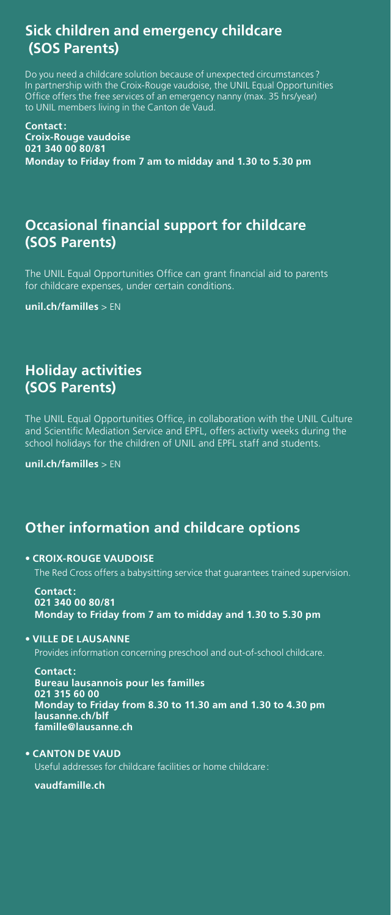## **Sick children and emergency childcare (SOS Parents)**

Do you need a childcare solution because of unexpected circumstances ? In partnership with the Croix-Rouge vaudoise, the UNIL Equal Opportunities Office offers the free services of an emergency nanny (max. 35 hrs/year) to UNIL members living in the Canton de Vaud.

**Contact: Croix-Rouge vaudoise 021 340 00 80/81 Monday to Friday from 7 am to midday and 1.30 to 5.30 pm**

## **Occasional financial support for childcare (SOS Parents)**

The UNIL Equal Opportunities Office can grant financial aid to parents for childcare expenses, under certain conditions.

**unil.ch/familles** > EN

## **Holiday activities (SOS Parents)**

The UNIL Equal Opportunities Office, in collaboration with the UNIL Culture and Scientific Mediation Service and EPFL, offers activity weeks during the school holidays for the children of UNIL and EPFL staff and students.

**unil.ch/familles** > EN

## **Other information and childcare options**

#### **• CROIX-ROUGE VAUDOISE**

The Red Cross offers a babysitting service that guarantees trained supervision.

**Contact: 021 340 00 80/81 Monday to Friday from 7 am to midday and 1.30 to 5.30 pm**

#### **• VILLE DE LAUSANNE**

Provides information concerning preschool and out-of-school childcare.

**Contact: Bureau lausannois pour les familles 021 315 60 00 Monday to Friday from 8.30 to 11.30 am and 1.30 to 4.30 pm lausanne.ch/blf famille@lausanne.ch**

#### **• CANTON DE VAUD**

Useful addresses for childcare facilities or home childcare :

**vaudfamille.ch**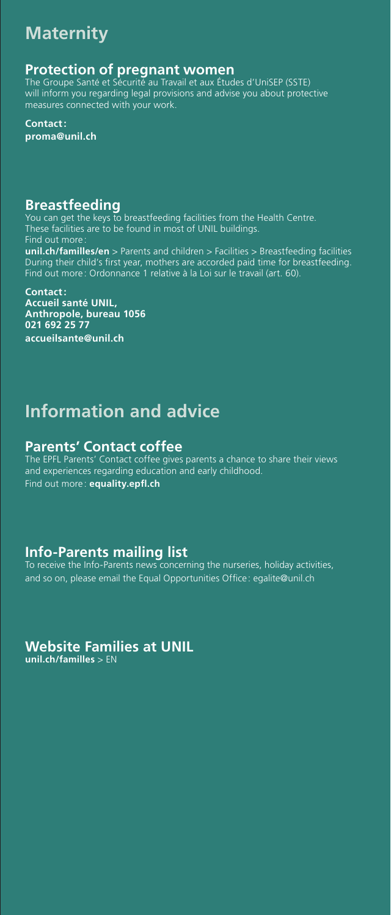## **Maternity**

#### **Protection of pregnant women**

The Groupe Santé et Sécurité au Travail et aux Études d'UniSEP (SSTE) will inform you regarding legal provisions and advise you about protective measures connected with your work.

**Contact: proma@unil.ch**

#### **Breastfeeding**

You can get the keys to breastfeeding facilities from the Health Centre. These facilities are to be found in most of UNIL buildings. Find out more **unil.ch/familles/en** > Parents and children > Facilities > Breastfeeding facilities During their child's first year, mothers are accorded paid time for breastfeeding. Find out more : Ordonnance 1 relative à la Loi sur le travail (art. 60).

**Contact: Accueil santé UNIL, Anthropole, bureau 1056 021 692 25 77 accueilsante@unil.ch**

## **Information and advice**

#### **Parents' Contact coffee**

The EPFL Parents' Contact coffee gives parents a chance to share their views and experiences regarding education and early childhood. Find out more : **equality.epfl.ch**

#### **Info-Parents mailing list**

To receive the Info-Parents news concerning the nurseries, holiday activities, and so on, please email the Equal Opportunities Office : egalite@unil.ch

## **Website Families at UNIL**

**unil.ch/familles** > EN